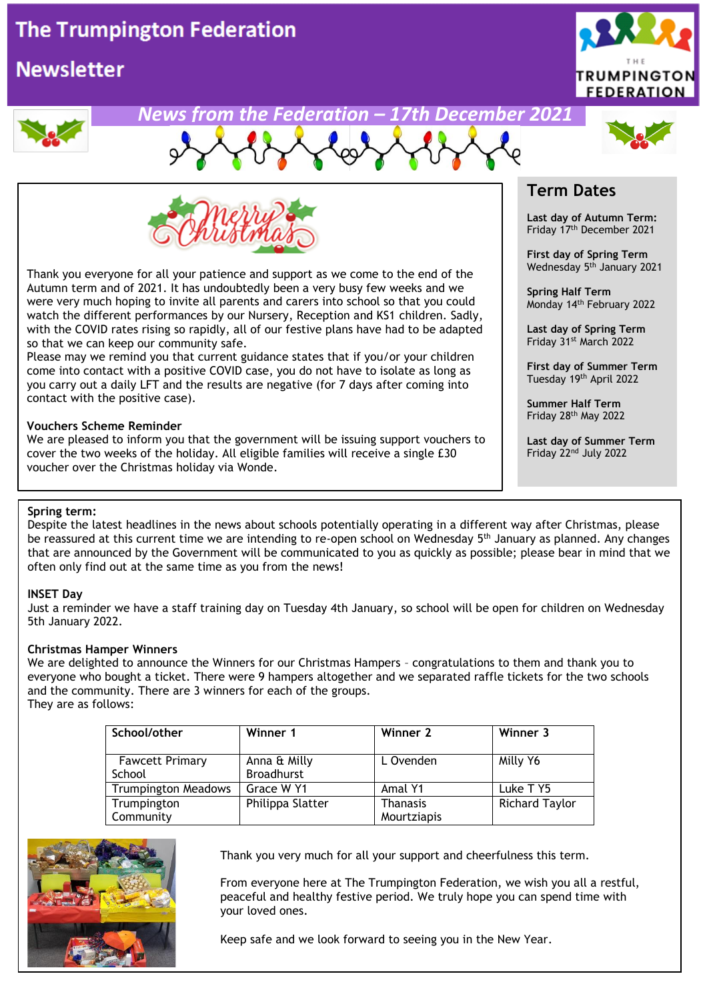# **The Trumpington Federation**

# **Newsletter**



## *News from the Federation – 17th December 2021*





Thank you everyone for all your patience and support as we come to the end of the Autumn term and of 2021. It has undoubtedly been a very busy few weeks and we were very much hoping to invite all parents and carers into school so that you could watch the different performances by our Nursery, Reception and KS1 children. Sadly, with the COVID rates rising so rapidly, all of our festive plans have had to be adapted so that we can keep our community safe.

Please may we remind you that current guidance states that if you/or your children come into contact with a positive COVID case, you do not have to isolate as long as you carry out a daily LFT and the results are negative (for 7 days after coming into contact with the positive case).

#### **Vouchers Scheme Reminder**

We are pleased to inform you that the government will be issuing support vouchers to cover the two weeks of the holiday. All eligible families will receive a single £30 voucher over the Christmas holiday via Wonde.

## **Term Dates**

**Last day of Autumn Term:** Friday 17th December 2021

**First day of Spring Term** Wednesday 5 th January 2021

**Spring Half Term** Monday 14 th February 2022

**Last day of Spring Term** Friday 31st March 2022

**First day of Summer Term** Tuesday 19th April 2022

**Summer Half Term** Friday 28th May 2022

**Last day of Summer Term** Friday 22nd July 2022

#### **Spring term:**

Despite the latest headlines in the news about schools potentially operating in a different way after Christmas, please be reassured at this current time we are intending to re-open school on Wednesday 5<sup>th</sup> January as planned. Any changes that are announced by the Government will be communicated to you as quickly as possible; please bear in mind that we often only find out at the same time as you from the news!

#### **INSET Day**

Just a reminder we have a staff training day on Tuesday 4th January, so school will be open for children on Wednesday 5th January 2022.

#### **Christmas Hamper Winners**

We are delighted to announce the Winners for our Christmas Hampers – congratulations to them and thank you to everyone who bought a ticket. There were 9 hampers altogether and we separated raffle tickets for the two schools and the community. There are 3 winners for each of the groups. They are as follows:

| School/other                     | Winner 1                          | Winner 2                       | Winner 3              |
|----------------------------------|-----------------------------------|--------------------------------|-----------------------|
| <b>Fawcett Primary</b><br>School | Anna & Milly<br><b>Broadhurst</b> | L Ovenden                      | Milly Y6              |
| <b>Trumpington Meadows</b>       | Grace W Y1                        | Amal Y1                        | Luke T Y5             |
| Trumpington<br>Community         | Philippa Slatter                  | <b>Thanasis</b><br>Mourtziapis | <b>Richard Taylor</b> |



Thank you very much for all your support and cheerfulness this term.

From everyone here at The Trumpington Federation, we wish you all a restful, peaceful and healthy festive period. We truly hope you can spend time with your loved ones.

Keep safe and we look forward to seeing you in the New Year.